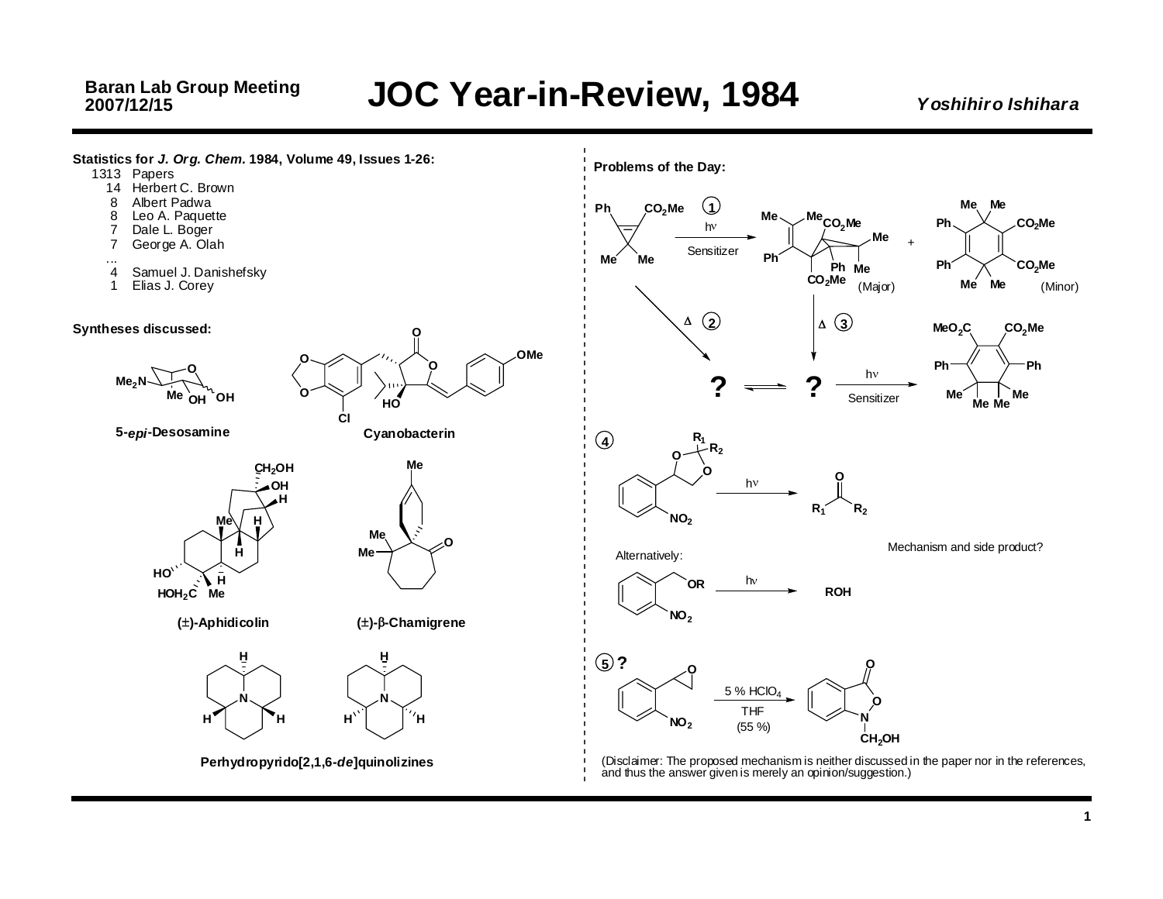*Y oshihiro Ishihar a*



**1**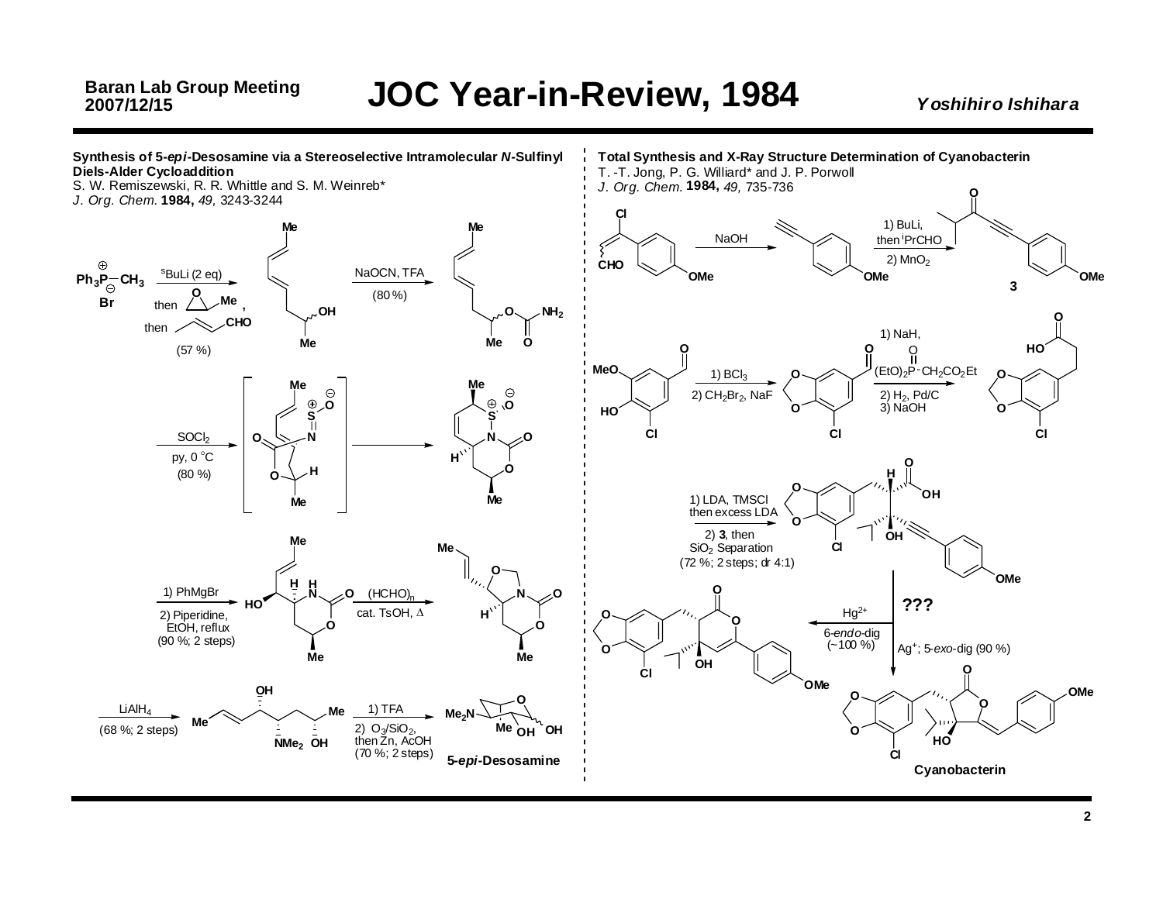#### *Y oshihiro Ishihar a*

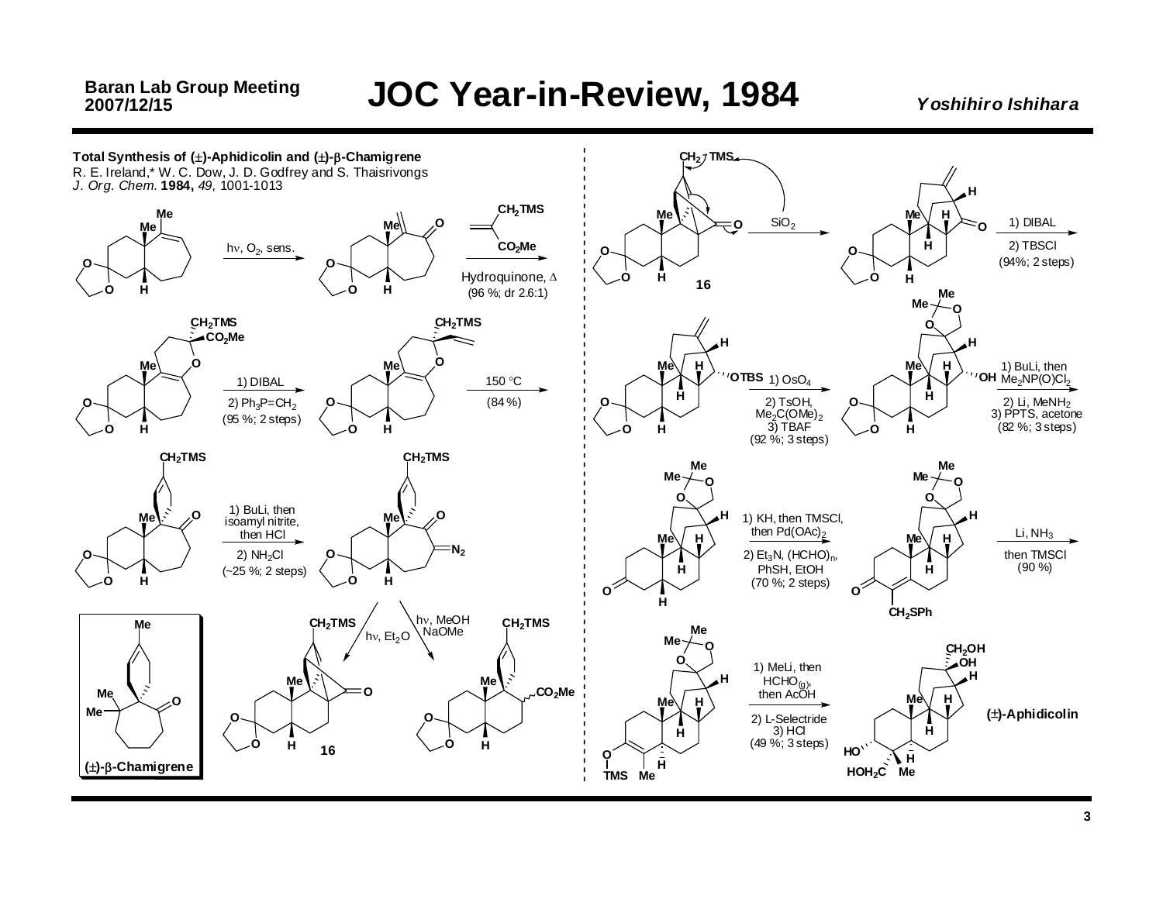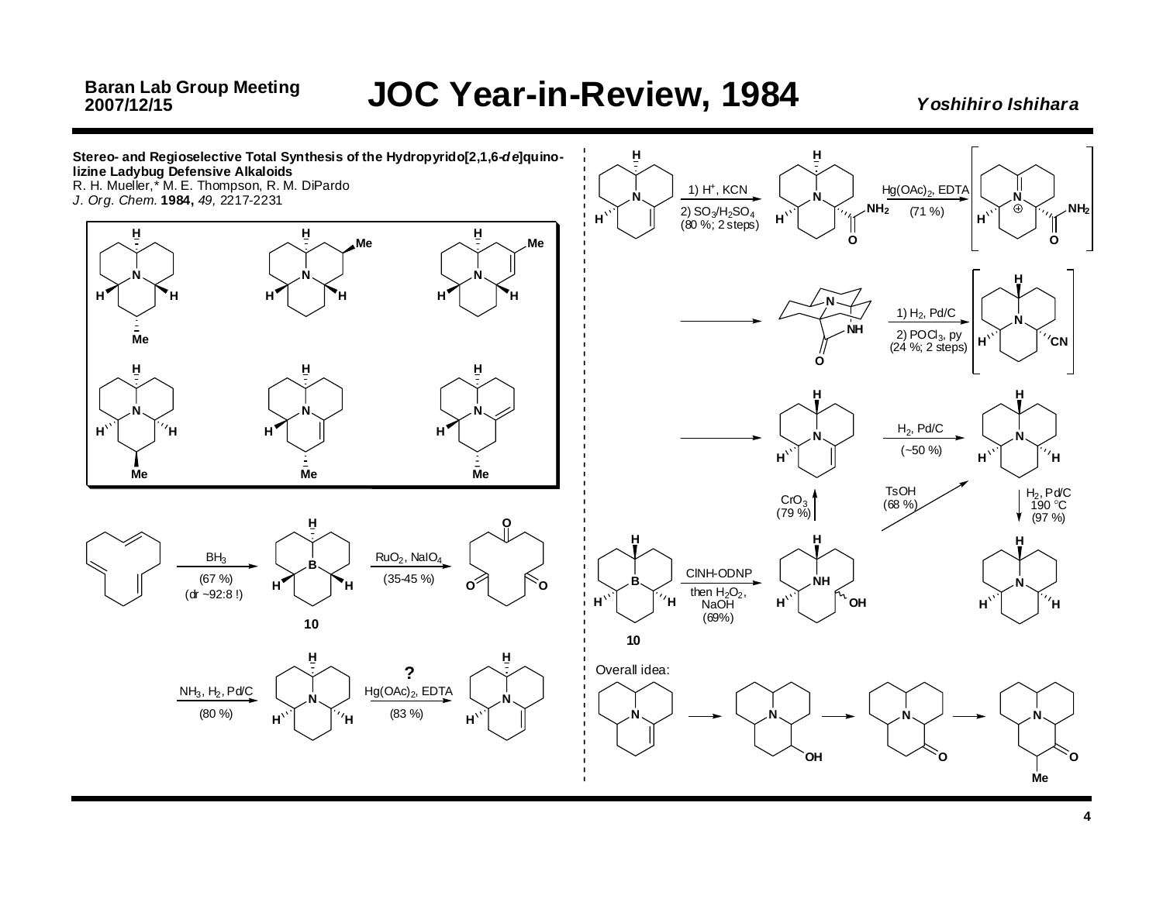*Y oshihiro Ishihar a*

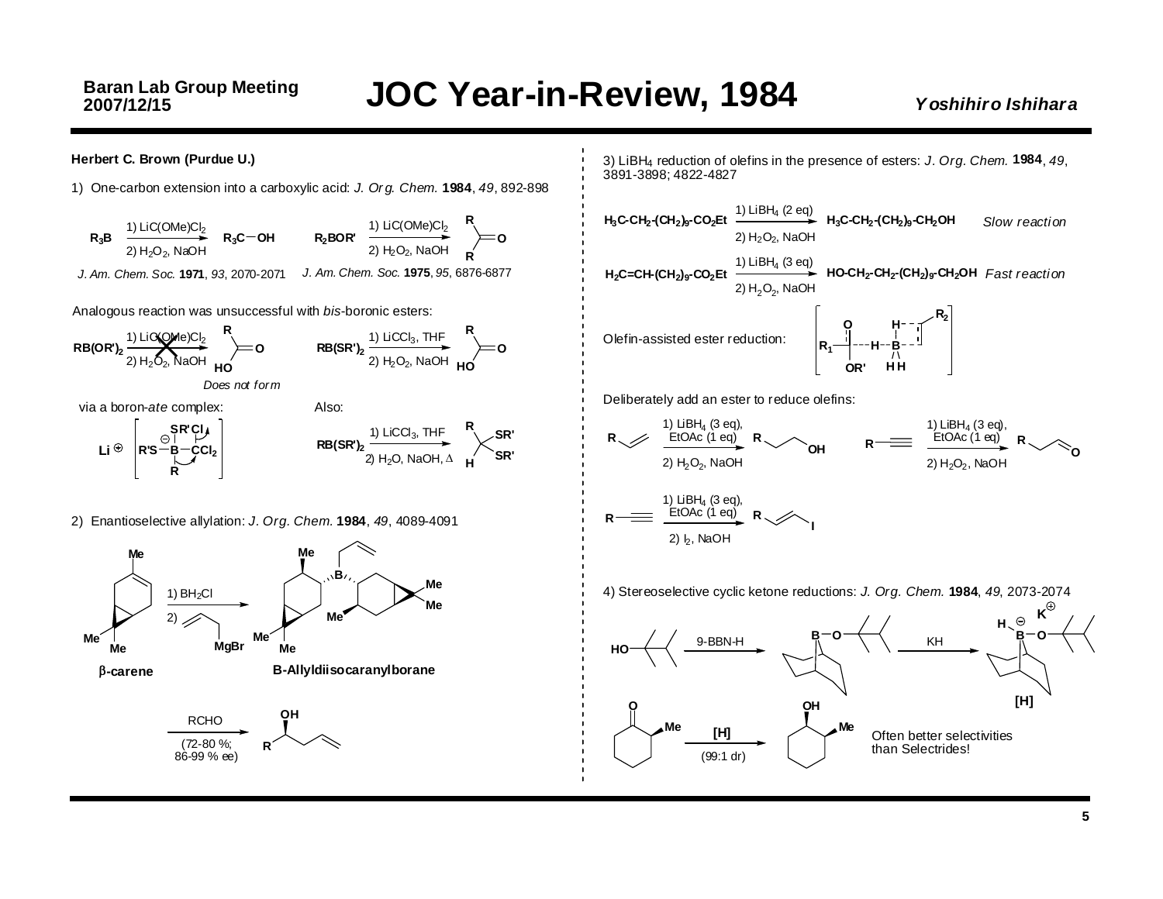#### **Herbert C. Brown (Purdue U.)**

1) One-carbon extension into <sup>a</sup> carboxylic acid: *J. Or g. Chem.* **1984**, *49*, 892-898

**R<sub>3</sub>B** 1) LiC(OMe)Cl<sub>2</sub> 2) H<sub>2</sub>O<sub>2</sub>, NaOH **R3C OH** *J. Am. Chem. Soc.* **1971**, *93*, 2070-2071 1) LiC(OMe)Cl<sub>2</sub> 2) H<sub>2</sub>O<sub>2</sub>, NaOH *J. Am. Chem. Soc.* **1975**, *95*, 6876-6877 **R2BOR' R O R**

Analogous reaction was unsuccessful with *bis*-boronic esters:



2) Enantioselective allylation: *J. Org. Chem.* **1984**, *49*, 4089-4091



3) LiBH4 reduction of olefins in the presence of esters: *J. Org. Chem.* **1984**, *49*, 3891-3898; 4822-4827

**H2C=CH-(CH2)9-CO2Et** 1) LiBH4 (3 eq) **HO-CH2-CH2-(CH2)9-CH2OH** *Fast reacti on* **H3C-CH2-(CH2)9-CO2Et** 1) LiBH4 (2 eq) **H3C-CH2-(CH2)9-CH2OH** *Slow reacti on* $2)$  H<sub>2</sub>O<sub>2</sub>, NaOH 2)  $H_2O_2$ , NaOH Olefin-assisted ester reduction: **O B H R1 <sup>H</sup> OR'HHR2** Deliberately add an ester to reduce olefins:

1) LiBH<sub>4</sub> (3 eq),<br>EtOAc (1 eq) 2) H<sub>2</sub>O<sub>2</sub>, NaOH  $R \times B$  **EtOAc** (1 eq) **R**  $\rightarrow$  **OH R EtOAc** (1 eq) **R O**1) LiBH4 (3 eq), EtOAc (1 eq) 2) H<sub>2</sub>O<sub>2</sub>, NaOH  $R \longrightarrow R$   $\longrightarrow$   $R$ 1) LiBH4 (3 eq), EtOAc (1 eq)  $2)$  b. NaOH **I**

4) Stereoselective cyclic ketone reductions: *J. Org. Chem.* **1984**, *49*, 2073-2074

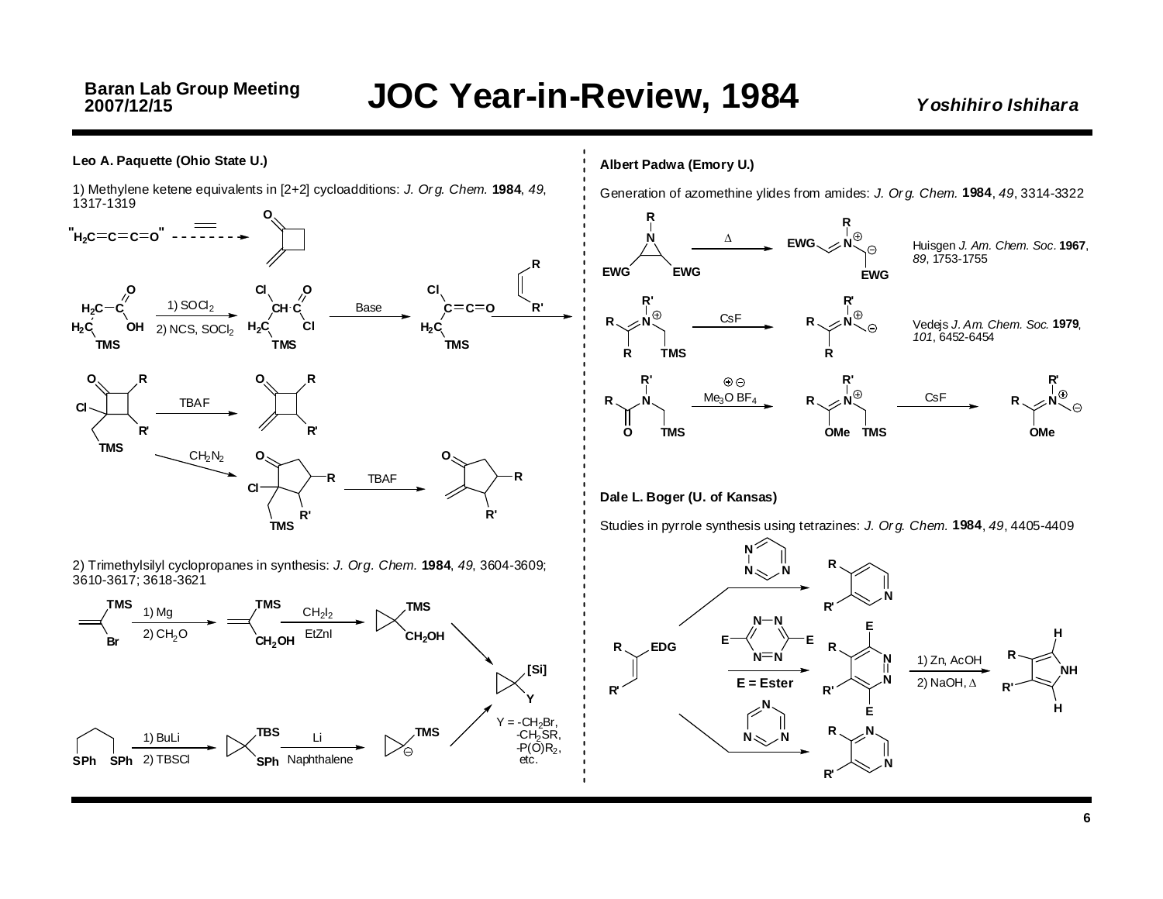